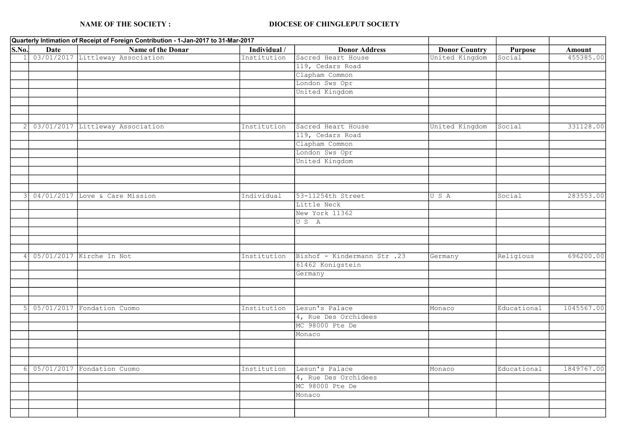## NAME OF THE SOCIETY : DIOCESE OF CHINGLEPUT SOCIETY

|                             | Quarterly Intimation of Receipt of Foreign Contribution - 1-Jan-2017 to 31-Mar-2017 |                                  |              |                             |                      |                |            |
|-----------------------------|-------------------------------------------------------------------------------------|----------------------------------|--------------|-----------------------------|----------------------|----------------|------------|
| $\overline{\textbf{S.No.}}$ | Date                                                                                | Name of the Donar                | Individual / | <b>Donor Address</b>        | <b>Donor Country</b> | <b>Purpose</b> | Amount     |
|                             |                                                                                     | 03/01/2017 Littleway Association | Institution  | Sacred Heart House          | United Kingdom       | Social         | 455385.00  |
|                             |                                                                                     |                                  |              | 119, Cedars Road            |                      |                |            |
|                             |                                                                                     |                                  |              | Clapham Common              |                      |                |            |
|                             |                                                                                     |                                  |              | London Sws Opr              |                      |                |            |
|                             |                                                                                     |                                  |              | United Kingdom              |                      |                |            |
|                             |                                                                                     |                                  |              |                             |                      |                |            |
|                             |                                                                                     |                                  |              |                             |                      |                |            |
|                             |                                                                                     |                                  |              |                             |                      |                |            |
| 2                           |                                                                                     | 03/01/2017 Littleway Association | Institution  | Sacred Heart House          | United Kingdom       | Social         | 331128.00  |
|                             |                                                                                     |                                  |              | 119, Cedars Road            |                      |                |            |
|                             |                                                                                     |                                  |              | Clapham Common              |                      |                |            |
|                             |                                                                                     |                                  |              | London Sws Opr              |                      |                |            |
|                             |                                                                                     |                                  |              | United Kingdom              |                      |                |            |
|                             |                                                                                     |                                  |              |                             |                      |                |            |
|                             |                                                                                     |                                  |              |                             |                      |                |            |
|                             |                                                                                     |                                  |              |                             |                      |                |            |
| 3                           |                                                                                     | 04/01/2017 Love & Care Mission   | Individual   | 53-11254th Street           | U S A                | Social         | 283553.00  |
|                             |                                                                                     |                                  |              | Little Neck                 |                      |                |            |
|                             |                                                                                     |                                  |              | New York 11362              |                      |                |            |
|                             |                                                                                     |                                  |              | US A                        |                      |                |            |
|                             |                                                                                     |                                  |              |                             |                      |                |            |
|                             |                                                                                     |                                  |              |                             |                      |                |            |
|                             |                                                                                     |                                  |              |                             |                      |                |            |
| 4                           |                                                                                     | 05/01/2017 Kirche In Not         | Institution  | Bishof - Kindermann Str .23 | Germany              | Religious      | 696200.00  |
|                             |                                                                                     |                                  |              | 61462 Konigstein            |                      |                |            |
|                             |                                                                                     |                                  |              | Germany                     |                      |                |            |
|                             |                                                                                     |                                  |              |                             |                      |                |            |
|                             |                                                                                     |                                  |              |                             |                      |                |            |
|                             |                                                                                     |                                  |              |                             |                      |                |            |
| 5                           |                                                                                     | 05/01/2017 Fondation Cuomo       | Institution  | Lesun's Palace              | Monaco               | Educational    | 1045567.00 |
|                             |                                                                                     |                                  |              | 4, Rue Des Orchidees        |                      |                |            |
|                             |                                                                                     |                                  |              | MC 98000 Pte De             |                      |                |            |
|                             |                                                                                     |                                  |              | Monaco                      |                      |                |            |
|                             |                                                                                     |                                  |              |                             |                      |                |            |
|                             |                                                                                     |                                  |              |                             |                      |                |            |
|                             |                                                                                     |                                  |              |                             |                      |                |            |
| 6                           |                                                                                     | 05/01/2017 Fondation Cuomo       | Institution  | Lesun's Palace              | Monaco               | Educational    | 1849767.00 |
|                             |                                                                                     |                                  |              | 4, Rue Des Orchidees        |                      |                |            |
|                             |                                                                                     |                                  |              | MC 98000 Pte De             |                      |                |            |
|                             |                                                                                     |                                  |              | Monaco                      |                      |                |            |
|                             |                                                                                     |                                  |              |                             |                      |                |            |
|                             |                                                                                     |                                  |              |                             |                      |                |            |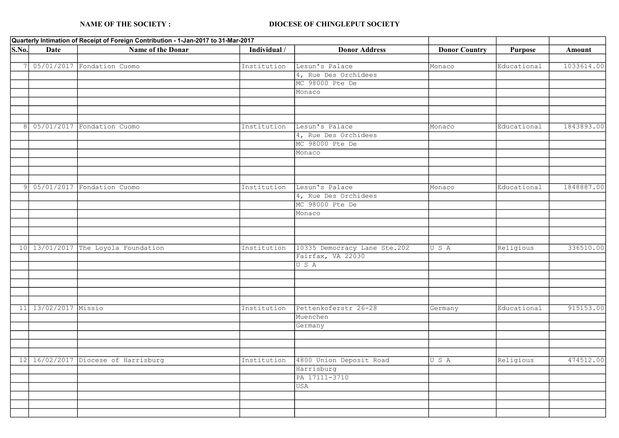## NAME OF THE SOCIETY : DIOCESE OF CHINGLEPUT SOCIETY

|              | Quarterly Intimation of Receipt of Foreign Contribution - 1-Jan-2017 to 31-Mar-2017 |                                     |              |                              |                      |                |            |
|--------------|-------------------------------------------------------------------------------------|-------------------------------------|--------------|------------------------------|----------------------|----------------|------------|
| S.No.        | <b>Date</b>                                                                         | Name of the Donar                   | Individual / | <b>Donor Address</b>         | <b>Donor Country</b> | <b>Purpose</b> | Amount     |
|              |                                                                                     |                                     |              |                              |                      |                |            |
|              |                                                                                     | 05/01/2017 Fondation Cuomo          | Institution  | Lesun's Palace               | Monaco               | Educational    | 1033614.00 |
|              |                                                                                     |                                     |              | 4, Rue Des Orchidees         |                      |                |            |
|              |                                                                                     |                                     |              | MC 98000 Pte De              |                      |                |            |
|              |                                                                                     |                                     |              | Monaco                       |                      |                |            |
|              |                                                                                     |                                     |              |                              |                      |                |            |
|              |                                                                                     |                                     |              |                              |                      |                |            |
|              |                                                                                     |                                     |              |                              |                      |                |            |
| 8            |                                                                                     | 05/01/2017 Fondation Cuomo          | Institution  | Lesun's Palace               | Monaco               | Educational    | 1843893.00 |
|              |                                                                                     |                                     |              | 4, Rue Des Orchidees         |                      |                |            |
|              |                                                                                     |                                     |              | MC 98000 Pte De              |                      |                |            |
|              |                                                                                     |                                     |              | Monaco                       |                      |                |            |
|              |                                                                                     |                                     |              |                              |                      |                |            |
|              |                                                                                     |                                     |              |                              |                      |                |            |
|              |                                                                                     |                                     |              |                              |                      |                |            |
| $\mathsf{Q}$ | 05/01/2017                                                                          | Fondation Cuomo                     | Institution  | Lesun's Palace               | Monaco               | Educational    | 1848887.00 |
|              |                                                                                     |                                     |              | 4, Rue Des Orchidees         |                      |                |            |
|              |                                                                                     |                                     |              | MC 98000 Pte De              |                      |                |            |
|              |                                                                                     |                                     |              | Monaco                       |                      |                |            |
|              |                                                                                     |                                     |              |                              |                      |                |            |
|              |                                                                                     |                                     |              |                              |                      |                |            |
|              |                                                                                     |                                     |              |                              |                      |                |            |
|              |                                                                                     | 10 13/01/2017 The Loyola Foundation | Institution  | 10335 Democracy Lane Ste.202 | USA                  | Religious      | 336510.00  |
|              |                                                                                     |                                     |              | Fairfax, VA 22030            |                      |                |            |
|              |                                                                                     |                                     |              | USA                          |                      |                |            |
|              |                                                                                     |                                     |              |                              |                      |                |            |
|              |                                                                                     |                                     |              |                              |                      |                |            |
|              |                                                                                     |                                     |              |                              |                      |                |            |
|              |                                                                                     |                                     |              |                              |                      |                |            |
|              | 11 13/02/2017 Missio                                                                |                                     | Institution  | Pettenkoferstr 26-28         | Germany              | Educational    | 915153.00  |
|              |                                                                                     |                                     |              | Muenchen                     |                      |                |            |
|              |                                                                                     |                                     |              | Germany                      |                      |                |            |
|              |                                                                                     |                                     |              |                              |                      |                |            |
|              |                                                                                     |                                     |              |                              |                      |                |            |
|              |                                                                                     |                                     |              |                              |                      |                |            |
| 12           |                                                                                     | 16/02/2017 Diocese of Harrisburg    | Institution  | 4800 Union Deposit Road      | U S A                | Religious      | 474512.00  |
|              |                                                                                     |                                     |              | Harrisburg                   |                      |                |            |
|              |                                                                                     |                                     |              | PA 17111-3710                |                      |                |            |
|              |                                                                                     |                                     |              | <b>USA</b>                   |                      |                |            |
|              |                                                                                     |                                     |              |                              |                      |                |            |
|              |                                                                                     |                                     |              |                              |                      |                |            |
|              |                                                                                     |                                     |              |                              |                      |                |            |